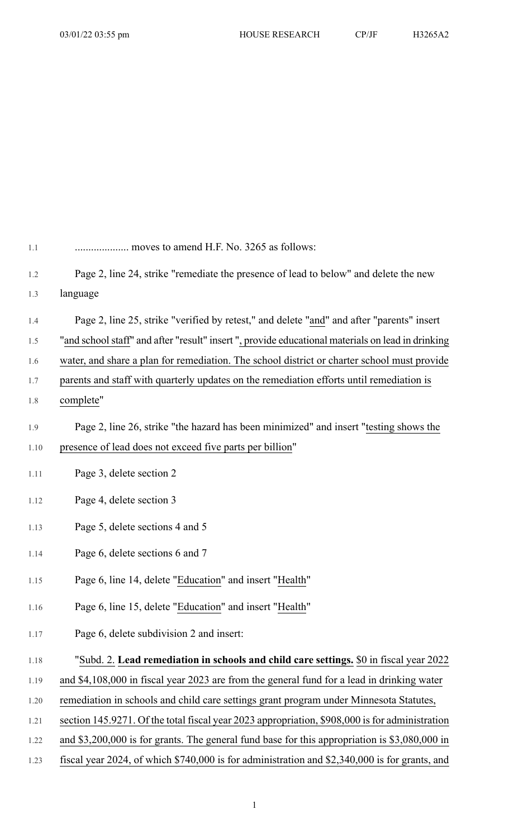| 1.1  | moves to amend H.F. No. 3265 as follows:                                                          |
|------|---------------------------------------------------------------------------------------------------|
| 1.2  | Page 2, line 24, strike "remediate the presence of lead to below" and delete the new              |
| 1.3  | language                                                                                          |
| 1.4  | Page 2, line 25, strike "verified by retest," and delete "and" and after "parents" insert         |
| 1.5  | "and school staff" and after "result" insert ", provide educational materials on lead in drinking |
| 1.6  | water, and share a plan for remediation. The school district or charter school must provide       |
| 1.7  | parents and staff with quarterly updates on the remediation efforts until remediation is          |
| 1.8  | complete"                                                                                         |
| 1.9  | Page 2, line 26, strike "the hazard has been minimized" and insert "testing shows the             |
| 1.10 | presence of lead does not exceed five parts per billion"                                          |
| 1.11 | Page 3, delete section 2                                                                          |
| 1.12 | Page 4, delete section 3                                                                          |
| 1.13 | Page 5, delete sections 4 and 5                                                                   |
| 1.14 | Page 6, delete sections 6 and 7                                                                   |
| 1.15 | Page 6, line 14, delete "Education" and insert "Health"                                           |
| 1.16 | Page 6, line 15, delete "Education" and insert "Health"                                           |
| 1.17 | Page 6, delete subdivision 2 and insert:                                                          |
| 1.18 | "Subd. 2. Lead remediation in schools and child care settings. \$0 in fiscal year 2022            |
| 1.19 | and \$4,108,000 in fiscal year 2023 are from the general fund for a lead in drinking water        |
| 1.20 | remediation in schools and child care settings grant program under Minnesota Statutes,            |
| 1.21 | section 145.9271. Of the total fiscal year 2023 appropriation, \$908,000 is for administration    |
| 1.22 | and \$3,200,000 is for grants. The general fund base for this appropriation is \$3,080,000 in     |

1.23 fiscal year 2024, of which \$740,000 is for administration and \$2,340,000 is for grants, and